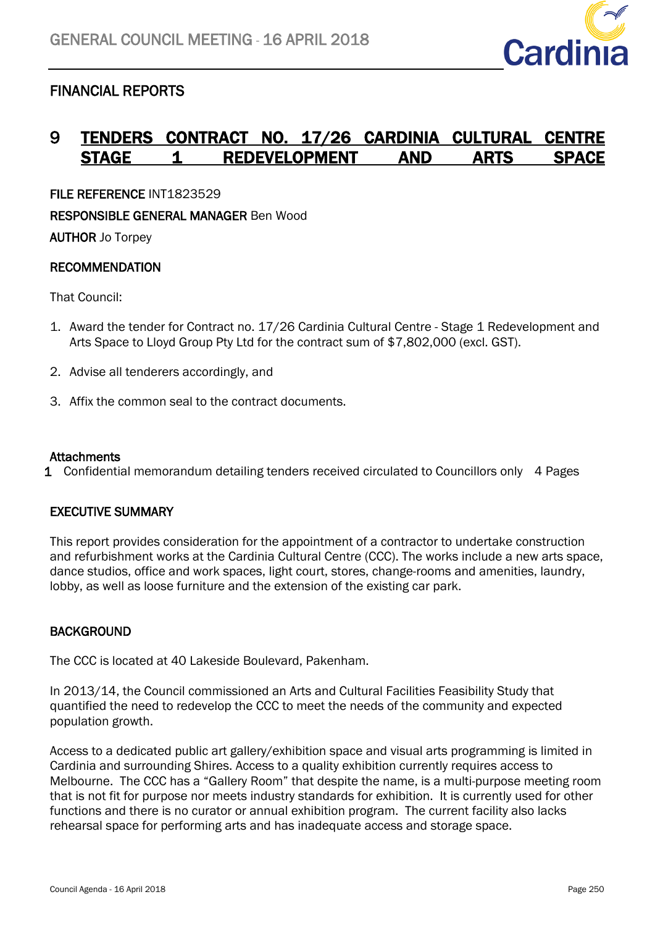

# FINANCIAL REPORTS

## 9 TENDERS CONTRACT NO. 17/26 CARDINIA CULTURAL STAGE 1 REDEVELOPMENT AND ARTS

FILE REFERENCE INT1823529

RESPONSIBLE GENERAL MANAGER Ben Wood

AUTHOR Jo Torpey

## RECOMMENDATION

That Council:

- 1. Award the tender for Contract no. 17/26 Cardinia Cultural Centre Stage 1 Redevelopment and Arts Space to Lloyd Group Pty Ltd for the contract sum of \$7,802,000 (excl. GST).
- 2. Advise all tenderers accordingly, and
- 3. Affix the common seal to the contract documents.

#### **Attachments**

1 Confidential memorandum detailing tenders received circulated to Councillors only 4 Pages

#### EXECUTIVE SUMMARY

This report provides consideration for the appointment of a contractor to undertake construction and refurbishment works at the Cardinia Cultural Centre (CCC). The works include a new arts space, dance studios, office and work spaces, light court, stores, change-rooms and amenities, laundry, lobby, as well as loose furniture and the extension of the existing car park.

## **BACKGROUND**

The CCC is located at 40 Lakeside Boulevard, Pakenham.

In 2013/14, the Council commissioned an Arts and Cultural Facilities Feasibility Study that quantified the need to redevelop the CCC to meet the needs of the community and expected population growth.

Access to a dedicated public art gallery/exhibition space and visual arts programming is limited in Cardinia and surrounding Shires. Access to a quality exhibition currently requires access to Melbourne. The CCC has a "Gallery Room" that despite the name, is a multi-purpose meeting room that is not fit for purpose nor meets industry standards for exhibition. It is currently used for other functions and there is no curator or annual exhibition program. The current facility also lacks rehearsal space for performing arts and has inadequate access and storage space.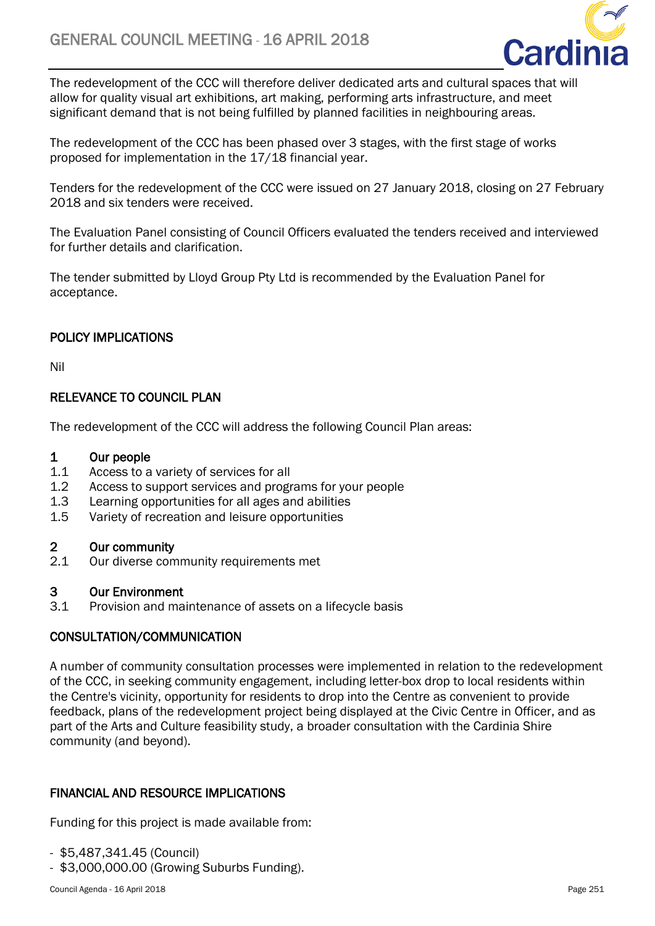

The redevelopment of the CCC will therefore deliver dedicated arts and cultural spaces that will allow for quality visual art exhibitions, art making, performing arts infrastructure, and meet significant demand that is not being fulfilled by planned facilities in neighbouring areas.

The redevelopment of the CCC has been phased over 3 stages, with the first stage of works proposed for implementation in the 17/18 financial year.

Tenders for the redevelopment of the CCC were issued on 27 January 2018, closing on 27 February 2018 and six tenders were received.

The Evaluation Panel consisting of Council Officers evaluated the tenders received and interviewed for further details and clarification.

The tender submitted by Lloyd Group Pty Ltd is recommended by the Evaluation Panel for acceptance.

## POLICY IMPLICATIONS

Nil

## RELEVANCE TO COUNCIL PLAN

The redevelopment of the CCC will address the following Council Plan areas:

#### 1 Our people

- 1.1 Access to a variety of services for all
- 1.2 Access to support services and programs for your people
- 1.3 Learning opportunities for all ages and abilities
- 1.5 Variety of recreation and leisure opportunities

## 2 Our community

2.1 Our diverse community requirements met

## 3 Our Environment

3.1 Provision and maintenance of assets on a lifecycle basis

## CONSULTATION/COMMUNICATION

A number of community consultation processes were implemented in relation to the redevelopment of the CCC, in seeking community engagement, including letter-box drop to local residents within the Centre's vicinity, opportunity for residents to drop into the Centre as convenient to provide feedback, plans of the redevelopment project being displayed at the Civic Centre in Officer, and as part of the Arts and Culture feasibility study, a broader consultation with the Cardinia Shire community (and beyond).

## FINANCIAL AND RESOURCE IMPLICATIONS

Funding for this project is made available from:

- \$5,487,341.45 (Council)
- \$3,000,000.00 (Growing Suburbs Funding).